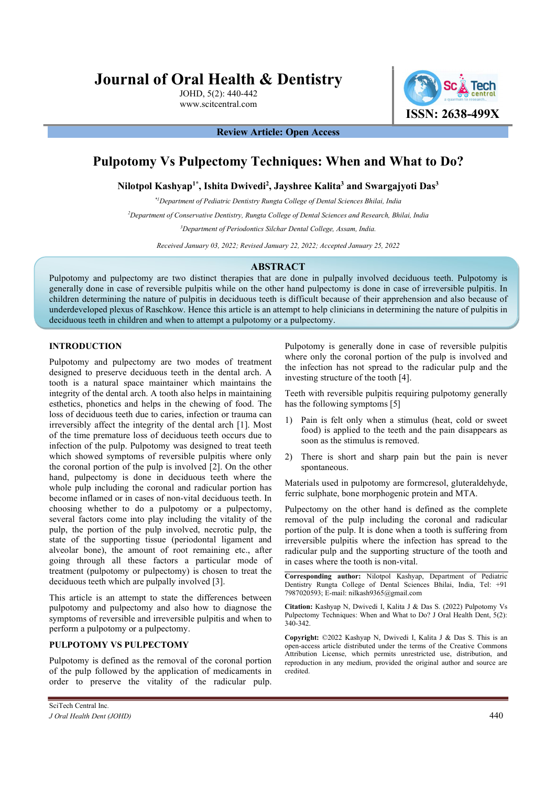# Journal of Oral Health & Dentistry

JOHD, 5(2): 440-442 www.scitcentral.com



Review Article: Open Access

## Pulpotomy Vs Pulpectomy Techniques: When and What to Do?

Nilotpol Kashyap<sup>1\*</sup>, Ishita Dwivedi<sup>2</sup>, Jayshree Kalita<sup>3</sup> and Swargajyoti Das<sup>3</sup>

<sup>2</sup>Department of Pediatric Dentistry Rungta College of Dental Sciences Bhilai, India<sup>2</sup><br><sup>2</sup>Department of Conservative Dentistry, Rungta College of Dental Sciences and Research, Bhilai, India<sup>2</sup><br><sup>3</sup>Department of Periodontic

Received January 03, 2022; Revised January 22, 2022; Accepted January 25, 2022

#### ABSTRACT

Pulpotomy and pulpectomy are two distinct therapies that are done in pulpally involved deciduous teeth. Pulpotomy is generally done in case of reversible pulpitis while on the other hand pulpectomy is done in case of irreversible pulpitis. In children determining the nature of pulpitis in deciduous teeth is difficult because of their apprehension and also because of underdeveloped plexus of Raschkow. Hence this article is an attempt to help clinicians in determining the nature of pulpitis in deciduous teeth in children and when to attempt a pulpotomy or a pulpectomy.

### INTRODUCTION

Pulpotomy and pulpectomy are two modes of treatment designed to preserve deciduous teeth in the dental arch. A tooth is a natural space maintainer which maintains the integrity of the dental arch. A tooth also helps in maintaining esthetics, phonetics and helps in the chewing of food. The loss of deciduous teeth due to caries, infection or trauma can irreversibly affect the integrity of the dental arch [1]. Most of the time premature loss of deciduous teeth occurs due to infection of the pulp. Pulpotomy was designed to treat teeth which showed symptoms of reversible pulpitis where only the coronal portion of the pulp is involved [2]. On the other hand, pulpectomy is done in deciduous teeth where the whole pulp including the coronal and radicular portion has become inflamed or in cases of non-vital deciduous teeth. In choosing whether to do a pulpotomy or a pulpectomy, several factors come into play including the vitality of the pulp, the portion of the pulp involved, necrotic pulp, the state of the supporting tissue (periodontal ligament and alveolar bone), the amount of root remaining etc., after going through all these factors a particular mode of treatment (pulpotomy or pulpectomy) is chosen to treat the deciduous teeth which are pulpally involved [3].

This article is an attempt to state the differences between pulpotomy and pulpectomy and also how to diagnose the symptoms of reversible and irreversible pulpitis and when to perform a pulpotomy or a pulpectomy.

#### PULPOTOMY VS PULPECTOMY

Pulpotomy is defined as the removal of the coronal portion of the pulp followed by the application of medicaments in order to preserve the vitality of the radicular pulp.

Pulpotomy is generally done in case of reversible pulpitis where only the coronal portion of the pulp is involved and the infection has not spread to the radicular pulp and the investing structure of the tooth [4].

Teeth with reversible pulpitis requiring pulpotomy generally has the following symptoms [5]

- Pain is felt only when a stimulus (heat, cold or sweet food) is applied to the teeth and the pain disappears as soon as the stimulus is removed.
- 2) There is short and sharp pain but the pain is never spontaneous.

Materials used in pulpotomy are formcresol, gluteraldehyde, ferric sulphate, bone morphogenic protein and MTA.

Pulpectomy on the other hand is defined as the complete removal of the pulp including the coronal and radicular portion of the pulp. It is done when a tooth is suffering from irreversible pulpitis where the infection has spread to the radicular pulp and the supporting structure of the tooth and in cases where the tooth is non-vital.

Corresponding author: Nilotpol Kashyap, Department of Pediatric Dentistry Rungta College of Dental Sciences Bhilai, India, Tel: +91 7987020593; E-mail: nilkash9365@gmail.com

Citation: Kashyap N, Dwivedi I, Kalita J & Das S. (2022) Pulpotomy Vs Pulpectomy Techniques: When and What to Do? J Oral Health Dent, 5(2): 340-342.

Copyright: ©2022 Kashyap N, Dwivedi I, Kalita J & Das S. This is an open-access article distributed under the terms of the Creative Commons Attribution License, which permits unrestricted use, distribution, and reproduction in any medium, provided the original author and source are credited.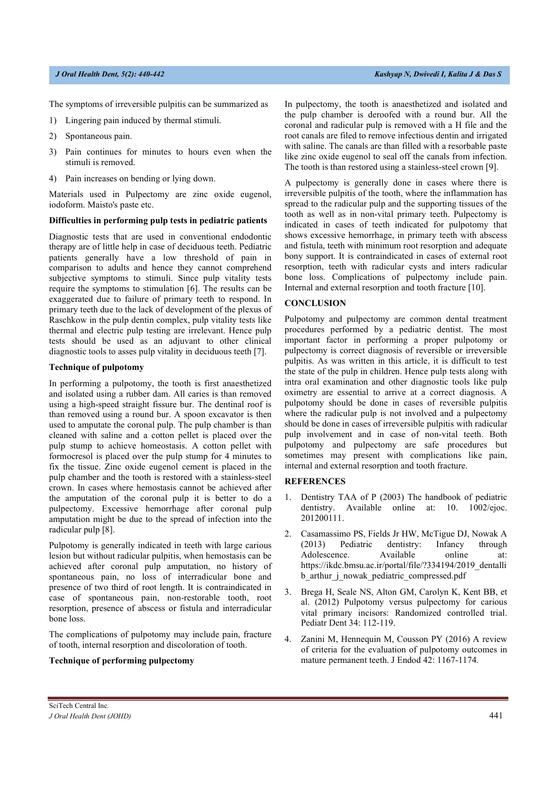The symptoms of irreversible pulpitis can be summarized as

- 1) Lingering pain induced by thermal stimuli.
- 2) Spontaneous pain.
- 3) Pain continues for minutes to hours even when the stimuli is removed.
- 4) Pain increases on bending or lying down.

Materials used in Pulpectomy are zinc oxide eugenol, iodoform. Maisto's paste etc.

#### Difficulties in performing pulp tests in pediatric patients

Diagnostic tests that are used in conventional endodontic therapy are of little help in case of deciduous teeth. Pediatric patients generally have a low threshold of pain in comparison to adults and hence they cannot comprehend subjective symptoms to stimuli. Since pulp vitality tests require the symptoms to stimulation [6]. The results can be exaggerated due to failure of primary teeth to respond. In primary teeth due to the lack of development of the plexus of Raschkow in the pulp dentin complex, pulp vitality tests like thermal and electric pulp testing are irrelevant. Hence pulp tests should be used as an adjuvant to other clinical diagnostic tools to asses pulp vitality in deciduous teeth [7].

#### Technique of pulpotomy

In performing a pulpotomy, the tooth is first anaesthetized and isolated using a rubber dam. All caries is than removed using a high-speed straight fissure bur. The dentinal roof is than removed using a round bur. A spoon excavator is then used to amputate the coronal pulp. The pulp chamber is than cleaned with saline and a cotton pellet is placed over the pulp stump to achieve homeostasis. A cotton pellet with formocresol is placed over the pulp stump for 4 minutes to fix the tissue. Zinc oxide eugenol cement is placed in the pulp chamber and the tooth is restored with a stainless-steel crown. In cases where hemostasis cannot be achieved after the amputation of the coronal pulp it is better to do a pulpectomy. Excessive hemorrhage after coronal pulp amputation might be due to the spread of infection into the radicular pulp [8].

Pulpotomy is generally indicated in teeth with large carious lesion but without radicular pulpitis, when hemostasis can be achieved after coronal pulp amputation, no history of spontaneous pain, no loss of interradicular bone and presence of two third of root length. It is contraindicated in case of spontaneous pain, non-restorable tooth, root resorption, presence of abscess or fistula and interradicular bone loss.

The complications of pulpotomy may include pain, fracture of tooth, internal resorption and discoloration of tooth.

#### Technique of performing pulpectomy

In pulpectomy, the tooth is anaesthetized and isolated and the pulp chamber is deroofed with a round bur. All the coronal and radicular pulp is removed with a H file and the root canals are filed to remove infectious dentin and irrigated with saline. The canals are than filled with a resorbable paste like zinc oxide eugenol to seal off the canals from infection. The tooth is than restored using a stainless-steel crown [9].

A pulpectomy is generally done in cases where there is irreversible pulpitis of the tooth, where the inflammation has spread to the radicular pulp and the supporting tissues of the tooth as well as in non-vital primary teeth. Pulpectomy is indicated in cases of teeth indicated for pulpotomy that shows excessive hemorrhage, in primary teeth with abscess and fistula, teeth with minimum root resorption and adequate bony support. It is contraindicated in cases of external root resorption, teeth with radicular cysts and inters radicular bone loss. Complications of pulpectomy include pain. Internal and external resorption and tooth fracture [10].

#### **CONCLUSION**

Pulpotomy and pulpectomy are common dental treatment procedures performed by a pediatric dentist. The most important factor in performing a proper pulpotomy or pulpectomy is correct diagnosis of reversible or irreversible pulpitis. As was written in this article, it is difficult to test the state of the pulp in children. Hence pulp tests along with intra oral examination and other diagnostic tools like pulp oximetry are essential to arrive at a correct diagnosis. A pulpotomy should be done in cases of reversible pulpitis where the radicular pulp is not involved and a pulpectomy should be done in cases of irreversible pulpitis with radicular pulp involvement and in case of non-vital teeth. Both pulpotomy and pulpectomy are safe procedures but sometimes may present with complications like pain, internal and external resorption and tooth fracture.

#### **REFERENCES**

- 1. Dentistry TAA of P (2003) The handbook of pediatric dentistry. Available online at: 10. 1002/ejoc. 201200111.
- 2. Casamassimo PS, Fields Jr HW, McTigue DJ, Nowak A (2013) Pediatric dentistry: Infancy through Adolescence. Available online at: https://ikdc.bmsu.ac.ir/portal/file/?334194/2019\_dentalli b\_arthur\_j\_nowak\_pediatric\_compressed.pdf
- 3. Brega H, Seale NS, Alton GM, Carolyn K, Kent BB, et al. (2012) Pulpotomy versus pulpectomy for carious vital primary incisors: Randomized controlled trial. Pediatr Dent 34: 112-119.
- 4. Zanini M, Hennequin M, Cousson PY (2016) A review of criteria for the evaluation of pulpotomy outcomes in mature permanent teeth. J Endod 42: 1167-1174.